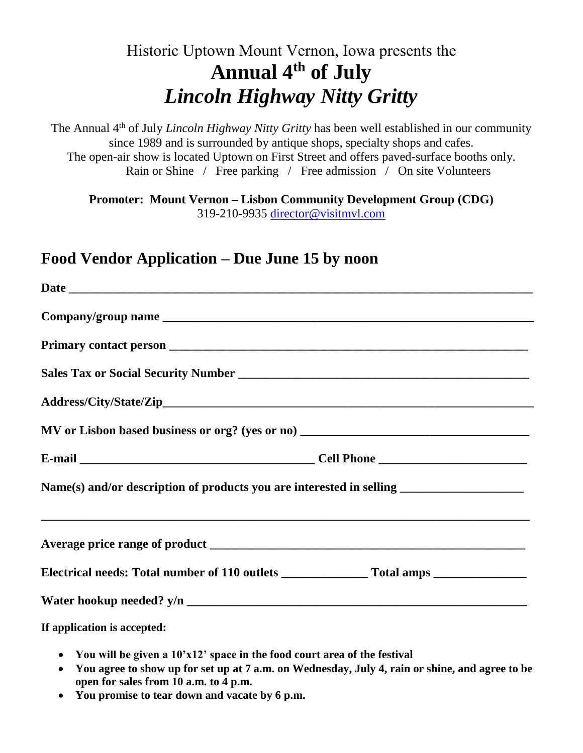## Historic Uptown Mount Vernon, Iowa presents the **Annual 4th of July** *Lincoln Highway Nitty Gritty*

The Annual 4th of July *Lincoln Highway Nitty Gritty* has been well established in our community since 1989 and is surrounded by antique shops, specialty shops and cafes. The open-air show is located Uptown on First Street and offers paved-surface booths only. Rain or Shine / Free parking / Free admission / On site Volunteers

**Promoter: Mount Vernon – Lisbon Community Development Group (CDG)** 319-210-9935 director@visitmvl.com

## **Food Vendor Application – Due June 15 by noon**

| Name(s) and/or description of products you are interested in selling _______________________________ |  |
|------------------------------------------------------------------------------------------------------|--|
|                                                                                                      |  |
|                                                                                                      |  |
|                                                                                                      |  |
| If application is accepted:                                                                          |  |

- **You will be given a 10'x12' space in the food court area of the festival**
- **You agree to show up for set up at 7 a.m. on Wednesday, July 4, rain or shine, and agree to be open for sales from 10 a.m. to 4 p.m.**
- **You promise to tear down and vacate by 6 p.m.**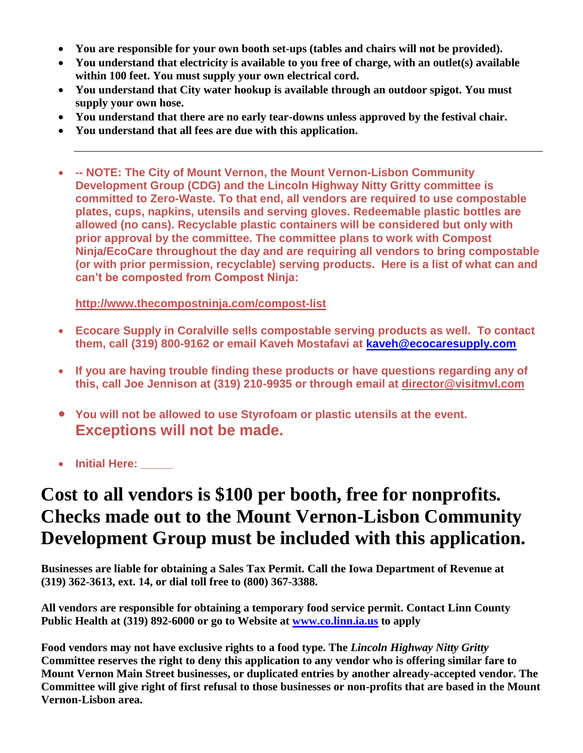- **You are responsible for your own booth set-ups (tables and chairs will not be provided).**
- **You understand that electricity is available to you free of charge, with an outlet(s) available within 100 feet. You must supply your own electrical cord.**
- **You understand that City water hookup is available through an outdoor spigot. You must supply your own hose.**
- **You understand that there are no early tear-downs unless approved by the festival chair.**
- **You understand that all fees are due with this application.**
- **-- NOTE: The City of Mount Vernon, the Mount Vernon-Lisbon Community Development Group (CDG) and the Lincoln Highway Nitty Gritty committee is committed to Zero-Waste. To that end, all vendors are required to use compostable plates, cups, napkins, utensils and serving gloves. Redeemable plastic bottles are allowed (no cans). Recyclable plastic containers will be considered but only with prior approval by the committee. The committee plans to work with Compost Ninja/EcoCare throughout the day and are requiring all vendors to bring compostable (or with prior permission, recyclable) serving products. Here is a list of what can and can't be composted from Compost Ninja:**

**<http://www.thecompostninja.com/compost-list>**

- **Ecocare Supply in Coralville sells compostable serving products as well. To contact them, call (319) 800-9162 or email Kaveh Mostafavi at [kaveh@ecocaresupply.com](mailto:kaveh@ecocaresupply.com)**
- **If you are having trouble finding these products or have questions regarding any of this, call Joe Jennison at (319) 210-9935 or through email at [director@visitmvl.com](mailto:director@visitmvl.com)**
- **You will not be allowed to use Styrofoam or plastic utensils at the event. Exceptions will not be made.**

• **Initial Here: \_\_\_\_\_**

## **Cost to all vendors is \$100 per booth, free for nonprofits. Checks made out to the Mount Vernon-Lisbon Community Development Group must be included with this application.**

**Businesses are liable for obtaining a Sales Tax Permit. Call the Iowa Department of Revenue at (319) 362-3613, ext. 14, or dial toll free to (800) 367-3388.**

**All vendors are responsible for obtaining a temporary food service permit. Contact Linn County Public Health at (319) 892-6000 or go to Website at [www.co.linn.ia.us](http://www.co.linn.ia.us/) to apply**

**Food vendors may not have exclusive rights to a food type. The** *Lincoln Highway Nitty Gritty* **Committee reserves the right to deny this application to any vendor who is offering similar fare to Mount Vernon Main Street businesses, or duplicated entries by another already-accepted vendor. The Committee will give right of first refusal to those businesses or non-profits that are based in the Mount Vernon-Lisbon area.**